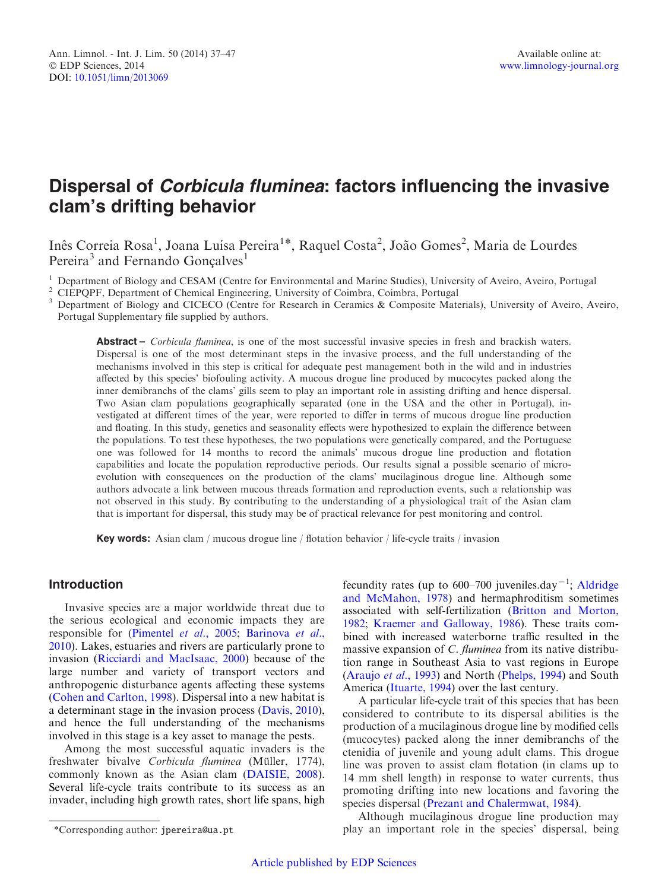# Dispersal of Corbicula fluminea: factors influencing the invasive clam's drifting behavior

Inês Correia Rosa<sup>1</sup>, Joana Luísa Pereira<sup>1\*</sup>, Raquel Costa<sup>2</sup>, João Gomes<sup>2</sup>, Maria de Lourdes Pereira<sup>3</sup> and Fernando Goncalves<sup>1</sup>

<sup>1</sup> Department of Biology and CESAM (Centre for Environmental and Marine Studies), University of Aveiro, Aveiro, Portugal<br><sup>2</sup> CIEPQPF, Department of Chemical Engineering, University of Coimbra, Coimbra, Portugal<br><sup>3</sup> Depar Portugal Supplementary file supplied by authors.

Abstract – Corbicula fluminea, is one of the most successful invasive species in fresh and brackish waters. Dispersal is one of the most determinant steps in the invasive process, and the full understanding of the mechanisms involved in this step is critical for adequate pest management both in the wild and in industries affected by this species' biofouling activity. A mucous drogue line produced by mucocytes packed along the inner demibranchs of the clams' gills seem to play an important role in assisting drifting and hence dispersal. Two Asian clam populations geographically separated (one in the USA and the other in Portugal), investigated at different times of the year, were reported to differ in terms of mucous drogue line production and floating. In this study, genetics and seasonality effects were hypothesized to explain the difference between the populations. To test these hypotheses, the two populations were genetically compared, and the Portuguese one was followed for 14 months to record the animals' mucous drogue line production and flotation capabilities and locate the population reproductive periods. Our results signal a possible scenario of microevolution with consequences on the production of the clams' mucilaginous drogue line. Although some authors advocate a link between mucous threads formation and reproduction events, such a relationship was not observed in this study. By contributing to the understanding of a physiological trait of the Asian clam that is important for dispersal, this study may be of practical relevance for pest monitoring and control.

**Key words:** Asian clam / mucous drogue line / flotation behavior / life-cycle traits / invasion

# Introduction

Invasive species are a major worldwide threat due to the serious ecological and economic impacts they are responsible for ([Pimentel](#page-10-0) et al., 2005; [Barinova](#page-9-0) et al., [2010](#page-9-0)). Lakes, estuaries and rivers are particularly prone to invasion ([Ricciardi and MacIsaac, 2000](#page-10-0)) because of the large number and variety of transport vectors and anthropogenic disturbance agents affecting these systems ([Cohen and Carlton, 1998\)](#page-9-0). Dispersal into a new habitat is a determinant stage in the invasion process [\(Davis, 2010\)](#page-9-0), and hence the full understanding of the mechanisms involved in this stage is a key asset to manage the pests.

Among the most successful aquatic invaders is the freshwater bivalve Corbicula fluminea (Müller, 1774), commonly known as the Asian clam ([DAISIE, 2008\)](#page-9-0). Several life-cycle traits contribute to its success as an invader, including high growth rates, short life spans, high

fecundity rates (up to  $600-700$  juveniles.day<sup>-1</sup>; [Aldridge](#page-9-0) [and McMahon, 1978\)](#page-9-0) and hermaphroditism sometimes associated with self-fertilization [\(Britton and Morton,](#page-9-0) [1982;](#page-9-0) [Kraemer and Galloway, 1986\)](#page-9-0). These traits combined with increased waterborne traffic resulted in the massive expansion of C. fluminea from its native distribution range in Southeast Asia to vast regions in Europe ([Araujo](#page-9-0) et al., 1993) and North [\(Phelps, 1994\)](#page-10-0) and South America ([Ituarte, 1994](#page-9-0)) over the last century.

A particular life-cycle trait of this species that has been considered to contribute to its dispersal abilities is the production of a mucilaginous drogue line by modified cells (mucocytes) packed along the inner demibranchs of the ctenidia of juvenile and young adult clams. This drogue line was proven to assist clam flotation (in clams up to 14 mm shell length) in response to water currents, thus promoting drifting into new locations and favoring the species dispersal ([Prezant and Chalermwat, 1984](#page-10-0)).

Although mucilaginous drogue line production may \*Corresponding author: jpereira@ua.pt play an important role in the species' dispersal, being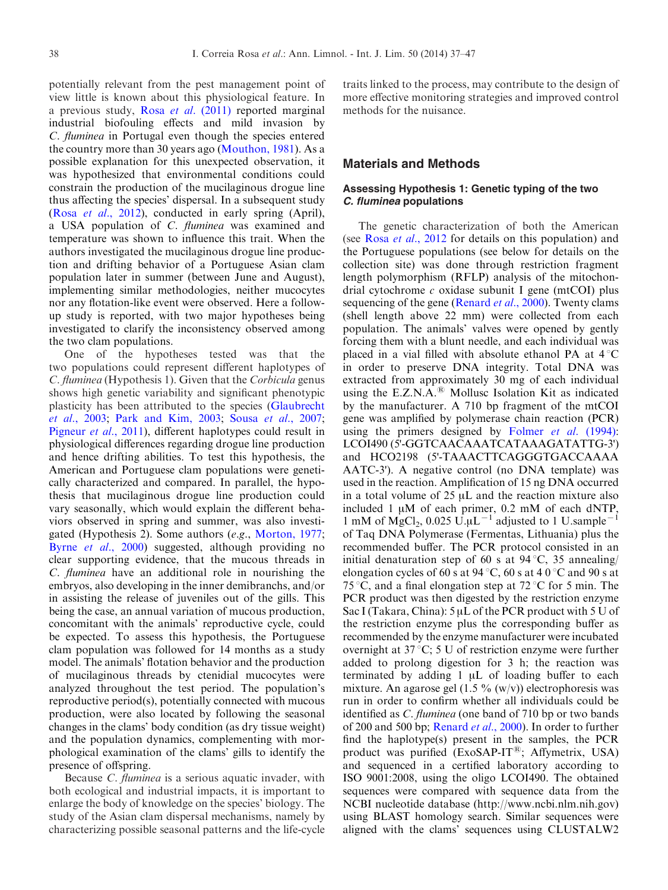potentially relevant from the pest management point of view little is known about this physiological feature. In a previous study, Rosa et al[. \(2011\)](#page-10-0) reported marginal industrial biofouling effects and mild invasion by C. fluminea in Portugal even though the species entered the country more than 30 years ago [\(Mouthon, 1981\)](#page-10-0). As a possible explanation for this unexpected observation, it was hypothesized that environmental conditions could constrain the production of the mucilaginous drogue line thus affecting the species' dispersal. In a subsequent study (Rosa et al[., 2012\)](#page-10-0), conducted in early spring (April), a USA population of C. fluminea was examined and temperature was shown to influence this trait. When the authors investigated the mucilaginous drogue line production and drifting behavior of a Portuguese Asian clam population later in summer (between June and August), implementing similar methodologies, neither mucocytes nor any flotation-like event were observed. Here a followup study is reported, with two major hypotheses being investigated to clarify the inconsistency observed among the two clam populations.

One of the hypotheses tested was that the two populations could represent different haplotypes of C. fluminea (Hypothesis 1). Given that the Corbicula genus shows high genetic variability and significant phenotypic plasticity has been attributed to the species [\(Glaubrecht](#page-9-0) et al[., 2003;](#page-9-0) [Park and Kim, 2003;](#page-10-0) Sousa et al[., 2007;](#page-10-0) [Pigneur](#page-10-0) et al., 2011), different haplotypes could result in physiological differences regarding drogue line production and hence drifting abilities. To test this hypothesis, the American and Portuguese clam populations were genetically characterized and compared. In parallel, the hypothesis that mucilaginous drogue line production could vary seasonally, which would explain the different behaviors observed in spring and summer, was also investigated (Hypothesis 2). Some authors (e.g., [Morton, 1977;](#page-10-0) Byrne et al[., 2000](#page-9-0)) suggested, although providing no clear supporting evidence, that the mucous threads in C. fluminea have an additional role in nourishing the embryos, also developing in the inner demibranchs, and/or in assisting the release of juveniles out of the gills. This being the case, an annual variation of mucous production, concomitant with the animals' reproductive cycle, could be expected. To assess this hypothesis, the Portuguese clam population was followed for 14 months as a study model. The animals' flotation behavior and the production of mucilaginous threads by ctenidial mucocytes were analyzed throughout the test period. The population's reproductive period(s), potentially connected with mucous production, were also located by following the seasonal changes in the clams' body condition (as dry tissue weight) and the population dynamics, complementing with morphological examination of the clams' gills to identify the presence of offspring.

Because *C. fluminea* is a serious aquatic invader, with both ecological and industrial impacts, it is important to enlarge the body of knowledge on the species' biology. The study of the Asian clam dispersal mechanisms, namely by characterizing possible seasonal patterns and the life-cycle traits linked to the process, may contribute to the design of more effective monitoring strategies and improved control methods for the nuisance.

#### Materials and Methods

### Assessing Hypothesis 1: Genetic typing of the two C. fluminea populations

The genetic characterization of both the American (see Rosa et al[., 2012](#page-10-0) for details on this population) and the Portuguese populations (see below for details on the collection site) was done through restriction fragment length polymorphism (RFLP) analysis of the mitochondrial cytochrome  $c$  oxidase subunit I gene (mtCOI) plus sequencing of the gene ([Renard](#page-10-0) et al., 2000). Twenty clams (shell length above 22 mm) were collected from each population. The animals' valves were opened by gently forcing them with a blunt needle, and each individual was placed in a vial filled with absolute ethanol PA at  $4^{\circ}$ C in order to preserve DNA integrity. Total DNA was extracted from approximately 30 mg of each individual using the E.Z.N.A. $^{(8)}$  Mollusc Isolation Kit as indicated by the manufacturer. A 710 bp fragment of the mtCOI gene was amplified by polymerase chain reaction (PCR) using the primers designed by Folmer *et al.* (1994): LCOI490 (5'-GGTCAACAAATCATAAAGATATTG-3') and HCO2198 (5'-TAAACTTCAGGGTGACCAAAA AATC-3'). A negative control (no DNA template) was used in the reaction. Amplification of 15 ng DNA occurred in a total volume of  $25 \mu L$  and the reaction mixture also included 1  $\mu$ M of each primer, 0.2 mM of each dNTP, 1 mM of MgCl<sub>2</sub>, 0.025 U.µL<sup>-1</sup> adjusted to 1 U.sample<sup>-1</sup> of Taq DNA Polymerase (Fermentas, Lithuania) plus the recommended buffer. The PCR protocol consisted in an initial denaturation step of 60 s at  $94^{\circ}$ C, 35 annealing/ elongation cycles of 60 s at 94 °C, 60 s at 4 0 °C and 90 s at 75 °C, and a final elongation step at 72 °C for 5 min. The PCR product was then digested by the restriction enzyme Sac I (Takara, China):  $5 \mu L$  of the PCR product with  $5 U$  of the restriction enzyme plus the corresponding buffer as recommended by the enzyme manufacturer were incubated overnight at  $37^{\circ}C$ ; 5 U of restriction enzyme were further added to prolong digestion for 3 h; the reaction was terminated by adding  $1 \mu L$  of loading buffer to each mixture. An agarose gel  $(1.5 \frac{9}{w})$  electrophoresis was run in order to confirm whether all individuals could be identified as C. fluminea (one band of 710 bp or two bands of 200 and 500 bp; [Renard](#page-10-0) et al., 2000). In order to further find the haplotype(s) present in the samples, the PCR product was purified  $(ExoSAP-IT^{\circledR};$  Affymetrix, USA) and sequenced in a certified laboratory according to ISO 9001:2008, using the oligo LCOI490. The obtained sequences were compared with sequence data from the NCBI nucleotide database (http://www.ncbi.nlm.nih.gov) using BLAST homology search. Similar sequences were aligned with the clams' sequences using CLUSTALW2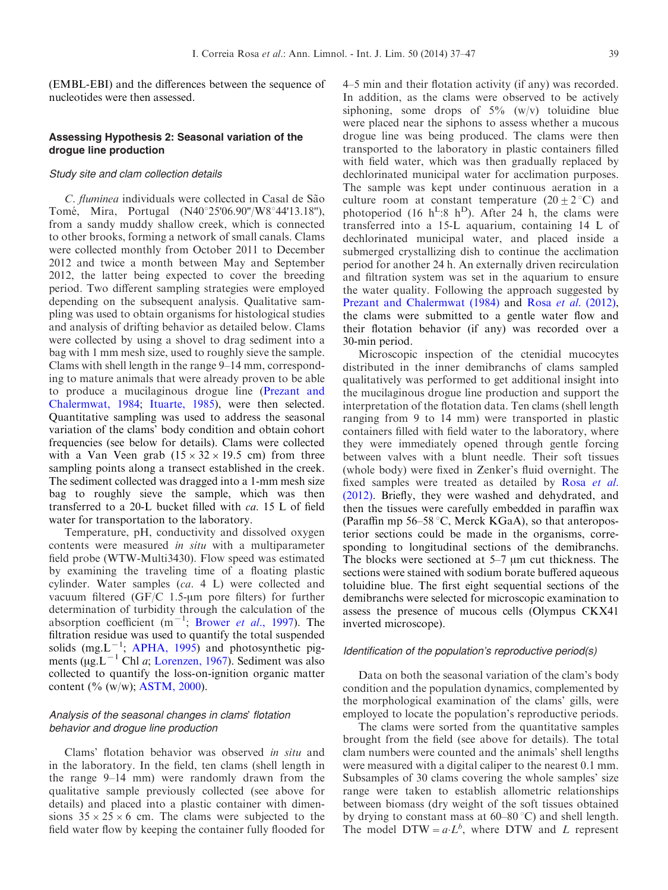(EMBL-EBI) and the differences between the sequence of nucleotides were then assessed.

#### Assessing Hypothesis 2: Seasonal variation of the drogue line production

#### Study site and clam collection details

C. fluminea individuals were collected in Casal de São Tomé, Mira, Portugal (N40°25'06.90"/W8°44'13.18"), from a sandy muddy shallow creek, which is connected to other brooks, forming a network of small canals. Clams were collected monthly from October 2011 to December 2012 and twice a month between May and September 2012, the latter being expected to cover the breeding period. Two different sampling strategies were employed depending on the subsequent analysis. Qualitative sampling was used to obtain organisms for histological studies and analysis of drifting behavior as detailed below. Clams were collected by using a shovel to drag sediment into a bag with 1 mm mesh size, used to roughly sieve the sample. Clams with shell length in the range 9–14 mm, corresponding to mature animals that were already proven to be able to produce a mucilaginous drogue line ([Prezant and](#page-10-0) [Chalermwat, 1984;](#page-10-0) [Ituarte, 1985](#page-9-0)), were then selected. Quantitative sampling was used to address the seasonal variation of the clams' body condition and obtain cohort frequencies (see below for details). Clams were collected with a Van Veen grab  $(15 \times 32 \times 19.5 \text{ cm})$  from three sampling points along a transect established in the creek. The sediment collected was dragged into a 1-mm mesh size bag to roughly sieve the sample, which was then transferred to a 20-L bucket filled with ca. 15 L of field water for transportation to the laboratory.

Temperature, pH, conductivity and dissolved oxygen contents were measured in situ with a multiparameter field probe (WTW-Multi3430). Flow speed was estimated by examining the traveling time of a floating plastic cylinder. Water samples (ca. 4 L) were collected and vacuum filtered (GF/C 1.5- $\mu$ m pore filters) for further determination of turbidity through the calculation of the absorption coefficient  $(m^{-1})$ ; [Brower](#page-9-0) et al., 1997). The filtration residue was used to quantify the total suspended solids (mg.L<sup>-1</sup>; [APHA, 1995](#page-9-0)) and photosynthetic pigments ( $\mu$ g. L<sup>-1</sup> Chl *a*; [Lorenzen, 1967\)](#page-9-0). Sediment was also collected to quantify the loss-on-ignition organic matter content (% (w/w); [ASTM, 2000](#page-9-0)).

# Analysis of the seasonal changes in clams' flotation behavior and drogue line production

Clams' flotation behavior was observed in situ and in the laboratory. In the field, ten clams (shell length in the range 9–14 mm) were randomly drawn from the qualitative sample previously collected (see above for details) and placed into a plastic container with dimensions  $35 \times 25 \times 6$  cm. The clams were subjected to the field water flow by keeping the container fully flooded for

4–5 min and their flotation activity (if any) was recorded. In addition, as the clams were observed to be actively siphoning, some drops of  $5\%$  (w/v) toluidine blue were placed near the siphons to assess whether a mucous drogue line was being produced. The clams were then transported to the laboratory in plastic containers filled with field water, which was then gradually replaced by dechlorinated municipal water for acclimation purposes. The sample was kept under continuous aeration in a culture room at constant temperature  $(20 \pm 2 \degree C)$  and photoperiod (16  $h^L$ :8  $h^D$ ). After 24 h, the clams were transferred into a 15-L aquarium, containing 14 L of dechlorinated municipal water, and placed inside a submerged crystallizing dish to continue the acclimation period for another 24 h. An externally driven recirculation and filtration system was set in the aquarium to ensure the water quality. Following the approach suggested by [Prezant and Chalermwat \(1984\)](#page-10-0) and Rosa et al[. \(2012\)](#page-10-0), the clams were submitted to a gentle water flow and their flotation behavior (if any) was recorded over a 30-min period.

Microscopic inspection of the ctenidial mucocytes distributed in the inner demibranchs of clams sampled qualitatively was performed to get additional insight into the mucilaginous drogue line production and support the interpretation of the flotation data. Ten clams (shell length ranging from 9 to 14 mm) were transported in plastic containers filled with field water to the laboratory, where they were immediately opened through gentle forcing between valves with a blunt needle. Their soft tissues (whole body) were fixed in Zenker's fluid overnight. The fixed samples were treated as detailed by [Rosa](#page-10-0) *et al.* [\(2012\)](#page-10-0). Briefly, they were washed and dehydrated, and then the tissues were carefully embedded in paraffin wax (Paraffin mp 56–58 °C, Merck KGaA), so that anteroposterior sections could be made in the organisms, corresponding to longitudinal sections of the demibranchs. The blocks were sectioned at 5–7 µm cut thickness. The sections were stained with sodium borate buffered aqueous toluidine blue. The first eight sequential sections of the demibranchs were selected for microscopic examination to assess the presence of mucous cells (Olympus CKX41 inverted microscope).

#### Identification of the population's reproductive period(s)

Data on both the seasonal variation of the clam's body condition and the population dynamics, complemented by the morphological examination of the clams' gills, were employed to locate the population's reproductive periods.

The clams were sorted from the quantitative samples brought from the field (see above for details). The total clam numbers were counted and the animals' shell lengths were measured with a digital caliper to the nearest 0.1 mm. Subsamples of 30 clams covering the whole samples' size range were taken to establish allometric relationships between biomass (dry weight of the soft tissues obtained by drying to constant mass at  $60-80$  °C) and shell length. The model DTW =  $a \cdot L^b$ , where DTW and L represent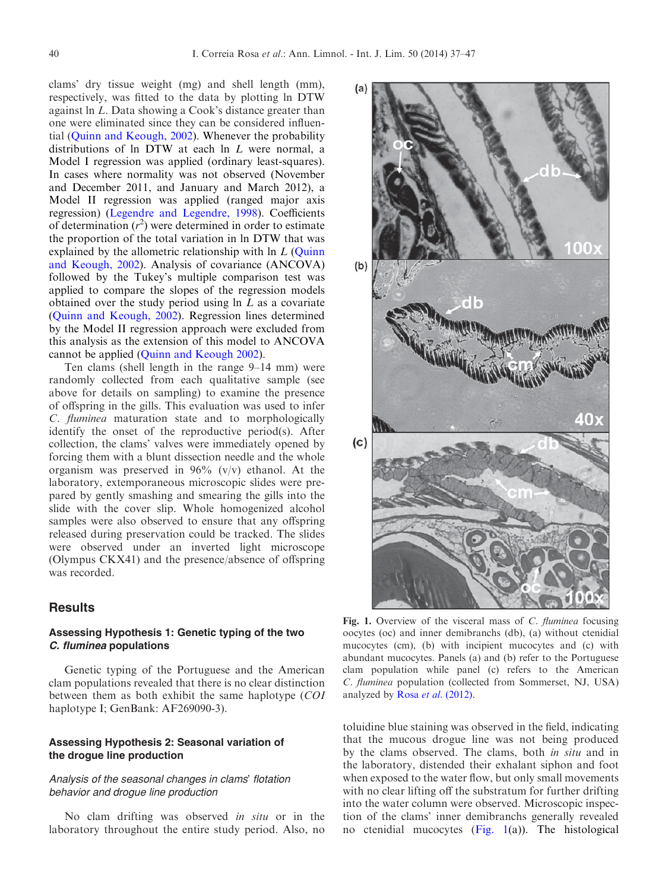<span id="page-3-0"></span>clams' dry tissue weight (mg) and shell length (mm), respectively, was fitted to the data by plotting ln DTW against ln L. Data showing a Cook's distance greater than one were eliminated since they can be considered influential [\(Quinn and Keough, 2002\)](#page-10-0). Whenever the probability distributions of ln DTW at each ln L were normal, a Model I regression was applied (ordinary least-squares). In cases where normality was not observed (November and December 2011, and January and March 2012), a Model II regression was applied (ranged major axis regression) ([Legendre and Legendre, 1998\)](#page-9-0). Coefficients of determination  $(r^2)$  were determined in order to estimate the proportion of the total variation in ln DTW that was explained by the allometric relationship with ln L ([Quinn](#page-10-0)) [and Keough, 2002](#page-10-0)). Analysis of covariance (ANCOVA) followed by the Tukey's multiple comparison test was applied to compare the slopes of the regression models obtained over the study period using  $\ln L$  as a covariate ([Quinn and Keough, 2002](#page-10-0)). Regression lines determined by the Model II regression approach were excluded from this analysis as the extension of this model to ANCOVA cannot be applied ([Quinn and Keough 2002\)](#page-10-0).

Ten clams (shell length in the range 9–14 mm) were randomly collected from each qualitative sample (see above for details on sampling) to examine the presence of offspring in the gills. This evaluation was used to infer C. fluminea maturation state and to morphologically identify the onset of the reproductive period(s). After collection, the clams' valves were immediately opened by forcing them with a blunt dissection needle and the whole organism was preserved in  $96\%$  (v/v) ethanol. At the laboratory, extemporaneous microscopic slides were prepared by gently smashing and smearing the gills into the slide with the cover slip. Whole homogenized alcohol samples were also observed to ensure that any offspring released during preservation could be tracked. The slides were observed under an inverted light microscope (Olympus CKX41) and the presence/absence of offspring was recorded.

# **Results**

# Assessing Hypothesis 1: Genetic typing of the two C. fluminea populations

Genetic typing of the Portuguese and the American clam populations revealed that there is no clear distinction between them as both exhibit the same haplotype (COI haplotype I; GenBank: AF269090-3).

# Assessing Hypothesis 2: Seasonal variation of the drogue line production

#### Analysis of the seasonal changes in clams' flotation behavior and drogue line production

No clam drifting was observed in situ or in the laboratory throughout the entire study period. Also, no



Fig. 1. Overview of the visceral mass of C. *fluminea* focusing oocytes (oc) and inner demibranchs (db), (a) without ctenidial mucocytes (cm), (b) with incipient mucocytes and (c) with abundant mucocytes. Panels (a) and (b) refer to the Portuguese clam population while panel (c) refers to the American C. fluminea population (collected from Sommerset, NJ, USA) analyzed by Rosa et al[. \(2012\)](#page-10-0).

toluidine blue staining was observed in the field, indicating that the mucous drogue line was not being produced by the clams observed. The clams, both in situ and in the laboratory, distended their exhalant siphon and foot when exposed to the water flow, but only small movements with no clear lifting off the substratum for further drifting into the water column were observed. Microscopic inspection of the clams' inner demibranchs generally revealed no ctenidial mucocytes  $(Fig, 1(a))$ . The histological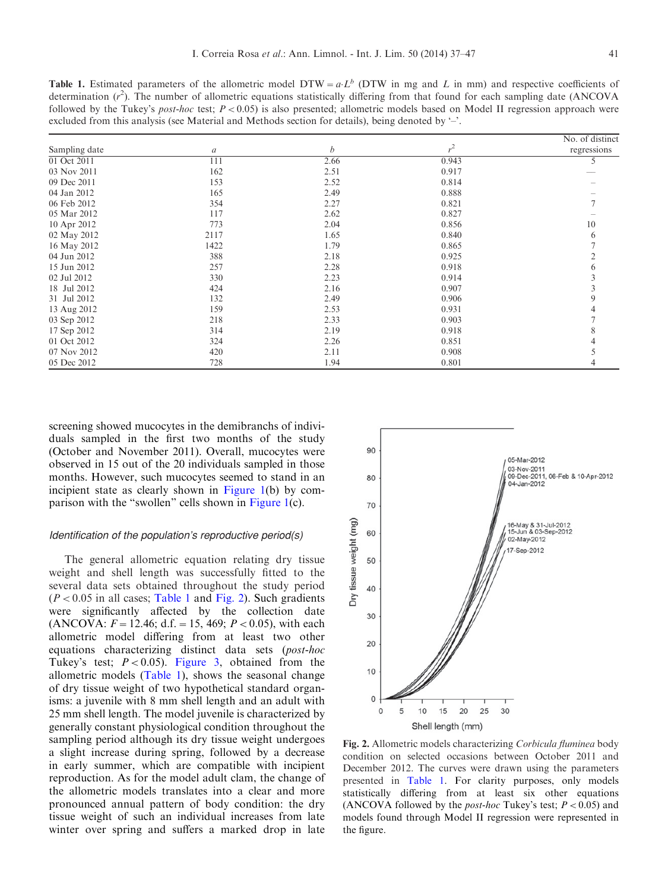<span id="page-4-0"></span>**Table 1.** Estimated parameters of the allometric model DTW =  $a L^b$  (DTW in mg and L in mm) and respective coefficients of determination  $(r^2)$ . The number of allometric equations statistically differing from that found for each sampling date (ANCOVA followed by the Tukey's *post-hoc* test;  $P < 0.05$ ) is also presented; allometric models based on Model II regression approach were excluded from this analysis (see Material and Methods section for details), being denoted by '–'.

|               |               |      |       | No. of distinct |
|---------------|---------------|------|-------|-----------------|
| Sampling date | $\mathfrak a$ | b    | $r^2$ | regressions     |
| 01 Oct 2011   | 111           | 2.66 | 0.943 | 5               |
| 03 Nov 2011   | 162           | 2.51 | 0.917 |                 |
| 09 Dec 2011   | 153           | 2.52 | 0.814 |                 |
| 04 Jan 2012   | 165           | 2.49 | 0.888 |                 |
| 06 Feb 2012   | 354           | 2.27 | 0.821 |                 |
| 05 Mar 2012   | 117           | 2.62 | 0.827 |                 |
| 10 Apr 2012   | 773           | 2.04 | 0.856 | 10              |
| 02 May 2012   | 2117          | 1.65 | 0.840 | 6               |
| 16 May 2012   | 1422          | 1.79 | 0.865 |                 |
| 04 Jun 2012   | 388           | 2.18 | 0.925 |                 |
| 15 Jun 2012   | 257           | 2.28 | 0.918 |                 |
| 02 Jul 2012   | 330           | 2.23 | 0.914 |                 |
| 18 Jul 2012   | 424           | 2.16 | 0.907 |                 |
| 31 Jul 2012   | 132           | 2.49 | 0.906 |                 |
| 13 Aug 2012   | 159           | 2.53 | 0.931 |                 |
| 03 Sep 2012   | 218           | 2.33 | 0.903 |                 |
| 17 Sep 2012   | 314           | 2.19 | 0.918 |                 |
| 01 Oct 2012   | 324           | 2.26 | 0.851 |                 |
| 07 Nov 2012   | 420           | 2.11 | 0.908 |                 |
| 05 Dec 2012   | 728           | 1.94 | 0.801 |                 |

screening showed mucocytes in the demibranchs of individuals sampled in the first two months of the study (October and November 2011). Overall, mucocytes were observed in 15 out of the 20 individuals sampled in those months. However, such mucocytes seemed to stand in an incipient state as clearly shown in [Figure 1\(](#page-3-0)b) by comparison with the "swollen" cells shown in [Figure 1](#page-3-0)(c).

#### Identification of the population's reproductive period(s)

The general allometric equation relating dry tissue weight and shell length was successfully fitted to the several data sets obtained throughout the study period  $(P < 0.05$  in all cases; Table 1 and Fig. 2). Such gradients were significantly affected by the collection date (ANCOVA:  $F = 12.46$ ; d.f. = 15, 469;  $P < 0.05$ ), with each allometric model differing from at least two other equations characterizing distinct data sets (post-hoc Tukey's test;  $P < 0.05$ ). [Figure 3,](#page-5-0) obtained from the allometric models (Table 1), shows the seasonal change of dry tissue weight of two hypothetical standard organisms: a juvenile with 8 mm shell length and an adult with 25 mm shell length. The model juvenile is characterized by generally constant physiological condition throughout the sampling period although its dry tissue weight undergoes a slight increase during spring, followed by a decrease in early summer, which are compatible with incipient reproduction. As for the model adult clam, the change of the allometric models translates into a clear and more pronounced annual pattern of body condition: the dry tissue weight of such an individual increases from late winter over spring and suffers a marked drop in late



Fig. 2. Allometric models characterizing Corbicula fluminea body condition on selected occasions between October 2011 and December 2012. The curves were drawn using the parameters presented in Table 1. For clarity purposes, only models statistically differing from at least six other equations (ANCOVA followed by the *post-hoc* Tukey's test;  $P < 0.05$ ) and models found through Model II regression were represented in the figure.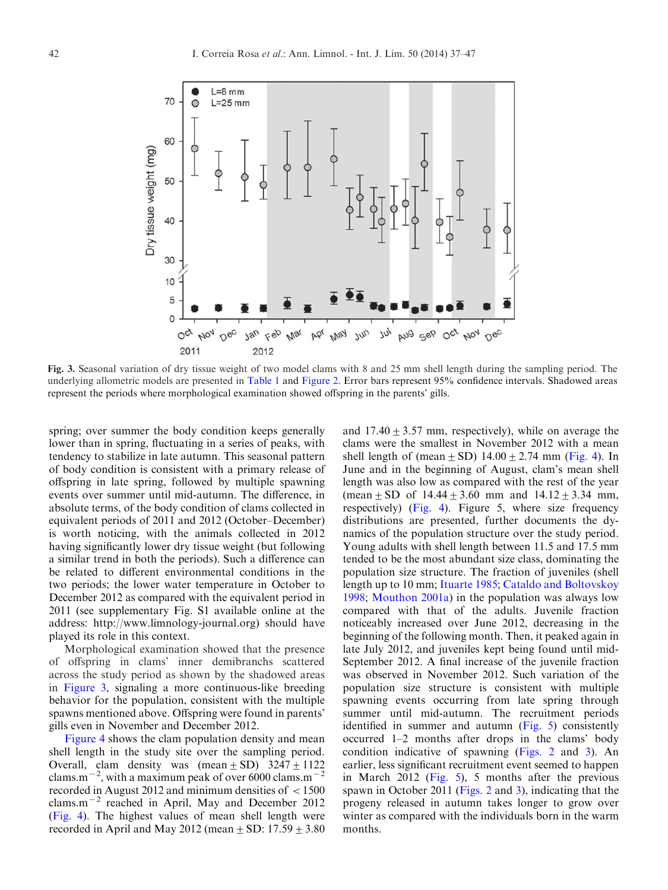<span id="page-5-0"></span>

Fig. 3. Seasonal variation of dry tissue weight of two model clams with 8 and 25 mm shell length during the sampling period. The underlying allometric models are presented in [Table 1](#page-4-0) and [Figure 2](#page-4-0). Error bars represent 95% confidence intervals. Shadowed areas represent the periods where morphological examination showed offspring in the parents' gills.

spring; over summer the body condition keeps generally lower than in spring, fluctuating in a series of peaks, with tendency to stabilize in late autumn. This seasonal pattern of body condition is consistent with a primary release of offspring in late spring, followed by multiple spawning events over summer until mid-autumn. The difference, in absolute terms, of the body condition of clams collected in equivalent periods of 2011 and 2012 (October–December) is worth noticing, with the animals collected in 2012 having significantly lower dry tissue weight (but following a similar trend in both the periods). Such a difference can be related to different environmental conditions in the two periods; the lower water temperature in October to December 2012 as compared with the equivalent period in 2011 (see supplementary Fig. S1 available online at the address: http://www.limnology-journal.org) should have played its role in this context.

Morphological examination showed that the presence of offspring in clams' inner demibranchs scattered across the study period as shown by the shadowed areas in Figure 3, signaling a more continuous-like breeding behavior for the population, consistent with the multiple spawns mentioned above. Offspring were found in parents' gills even in November and December 2012.

[Figure 4](#page-6-0) shows the clam population density and mean shell length in the study site over the sampling period. Overall, clam density was  $(\text{mean} \pm \text{SD})$  3247 + 1122 clams.m<sup> $-2$ </sup>, with a maximum peak of over 6000 clams.m<sup>-2</sup> recorded in August 2012 and minimum densities of  $\langle 1500$ clams.m<sup> $-2$ </sup> reached in April, May and December 2012 ([Fig. 4\)](#page-6-0). The highest values of mean shell length were recorded in April and May 2012 (mean  $\pm$  SD: 17.59  $\pm$  3.80 and  $17.40 \pm 3.57$  mm, respectively), while on average the clams were the smallest in November 2012 with a mean shell length of (mean  $\pm$  SD) 14.00  $\pm$  2.74 mm [\(Fig. 4\)](#page-6-0). In June and in the beginning of August, clam's mean shell length was also low as compared with the rest of the year (mean + SD of  $14.44 + 3.60$  mm and  $14.12 + 3.34$  mm, respectively) ([Fig. 4](#page-6-0)). Figure 5, where size frequency distributions are presented, further documents the dynamics of the population structure over the study period. Young adults with shell length between 11.5 and 17.5 mm tended to be the most abundant size class, dominating the population size structure. The fraction of juveniles (shell length up to 10 mm; [Ituarte 1985;](#page-9-0) [Cataldo and Boltovskoy](#page-9-0) [1998;](#page-9-0) [Mouthon 2001a](#page-10-0)) in the population was always low compared with that of the adults. Juvenile fraction noticeably increased over June 2012, decreasing in the beginning of the following month. Then, it peaked again in late July 2012, and juveniles kept being found until mid-September 2012. A final increase of the juvenile fraction was observed in November 2012. Such variation of the population size structure is consistent with multiple spawning events occurring from late spring through summer until mid-autumn. The recruitment periods identified in summer and autumn ([Fig. 5](#page-7-0)) consistently occurred 1–2 months after drops in the clams' body condition indicative of spawning ([Figs. 2](#page-4-0) and 3). An earlier, less significant recruitment event seemed to happen in March 2012 ([Fig. 5\)](#page-7-0), 5 months after the previous spawn in October 2011 ([Figs. 2](#page-4-0) and 3), indicating that the progeny released in autumn takes longer to grow over winter as compared with the individuals born in the warm months.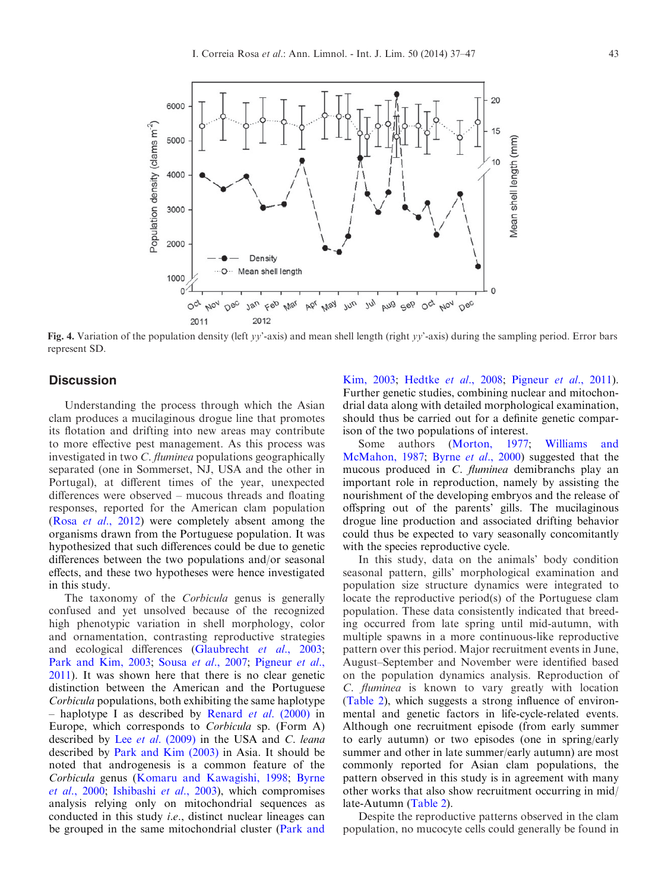<span id="page-6-0"></span>

Fig. 4. Variation of the population density (left yy'-axis) and mean shell length (right yy'-axis) during the sampling period. Error bars represent SD.

# **Discussion**

Understanding the process through which the Asian clam produces a mucilaginous drogue line that promotes its flotation and drifting into new areas may contribute to more effective pest management. As this process was investigated in two C. fluminea populations geographically separated (one in Sommerset, NJ, USA and the other in Portugal), at different times of the year, unexpected differences were observed – mucous threads and floating responses, reported for the American clam population (Rosa et al[., 2012](#page-10-0)) were completely absent among the organisms drawn from the Portuguese population. It was hypothesized that such differences could be due to genetic differences between the two populations and/or seasonal effects, and these two hypotheses were hence investigated in this study.

The taxonomy of the *Corbicula* genus is generally confused and yet unsolved because of the recognized high phenotypic variation in shell morphology, color and ornamentation, contrasting reproductive strategies and ecological differences ([Glaubrecht](#page-9-0) et al., 2003; [Park and Kim, 2003;](#page-10-0) Sousa et al[., 2007](#page-10-0); [Pigneur](#page-10-0) et al., [2011](#page-10-0)). It was shown here that there is no clear genetic distinction between the American and the Portuguese Corbicula populations, both exhibiting the same haplotype – haplotype I as described by Renard et al[. \(2000\)](#page-10-0) in Europe, which corresponds to Corbicula sp. (Form A) described by Lee et al[. \(2009\)](#page-9-0) in the USA and C. leana described by [Park and Kim \(2003\)](#page-10-0) in Asia. It should be noted that androgenesis is a common feature of the Corbicula genus ([Komaru and Kawagishi, 1998;](#page-9-0) [Byrne](#page-9-0) et al[., 2000](#page-9-0); [Ishibashi](#page-9-0) et al., 2003), which compromises analysis relying only on mitochondrial sequences as conducted in this study i.e., distinct nuclear lineages can be grouped in the same mitochondrial cluster ([Park and](#page-10-0)

[Kim, 2003;](#page-10-0) [Hedtke](#page-9-0) et al., 2008; [Pigneur](#page-10-0) et al., 2011). Further genetic studies, combining nuclear and mitochondrial data along with detailed morphological examination, should thus be carried out for a definite genetic comparison of the two populations of interest.

Some authors [\(Morton, 1977](#page-10-0); [Williams and](#page-10-0) [McMahon, 1987](#page-10-0); Byrne et al[., 2000](#page-9-0)) suggested that the mucous produced in C. fluminea demibranchs play an important role in reproduction, namely by assisting the nourishment of the developing embryos and the release of offspring out of the parents' gills. The mucilaginous drogue line production and associated drifting behavior could thus be expected to vary seasonally concomitantly with the species reproductive cycle.

In this study, data on the animals' body condition seasonal pattern, gills' morphological examination and population size structure dynamics were integrated to locate the reproductive period(s) of the Portuguese clam population. These data consistently indicated that breeding occurred from late spring until mid-autumn, with multiple spawns in a more continuous-like reproductive pattern over this period. Major recruitment events in June, August–September and November were identified based on the population dynamics analysis. Reproduction of C. fluminea is known to vary greatly with location ([Table 2](#page-8-0)), which suggests a strong influence of environmental and genetic factors in life-cycle-related events. Although one recruitment episode (from early summer to early autumn) or two episodes (one in spring/early summer and other in late summer/early autumn) are most commonly reported for Asian clam populations, the pattern observed in this study is in agreement with many other works that also show recruitment occurring in mid/ late-Autumn [\(Table 2](#page-8-0)).

Despite the reproductive patterns observed in the clam population, no mucocyte cells could generally be found in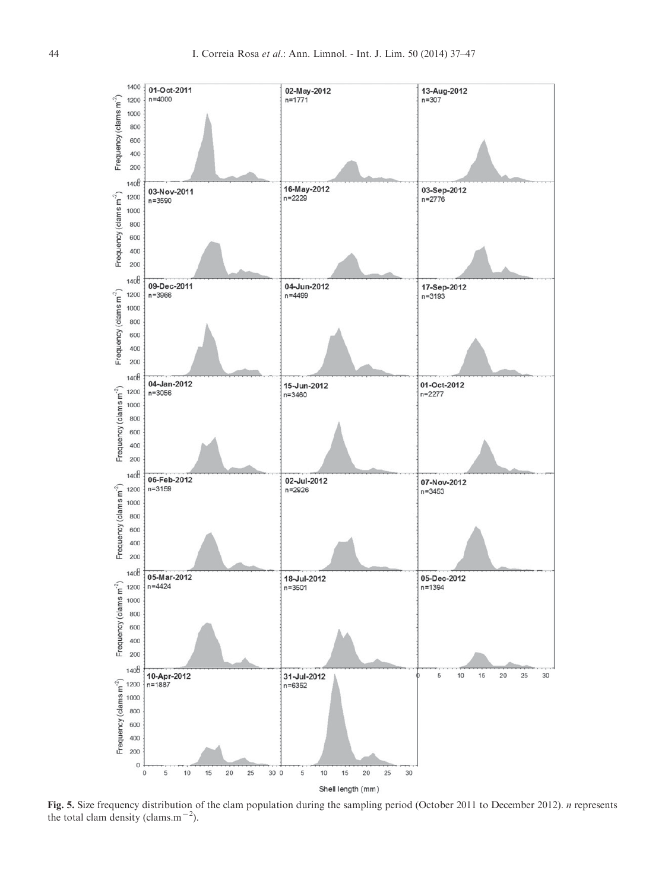<span id="page-7-0"></span>

Fig. 5. Size frequency distribution of the clam population during the sampling period (October 2011 to December 2012). n represents the total clam density (clams.m<sup> $-2$ </sup>).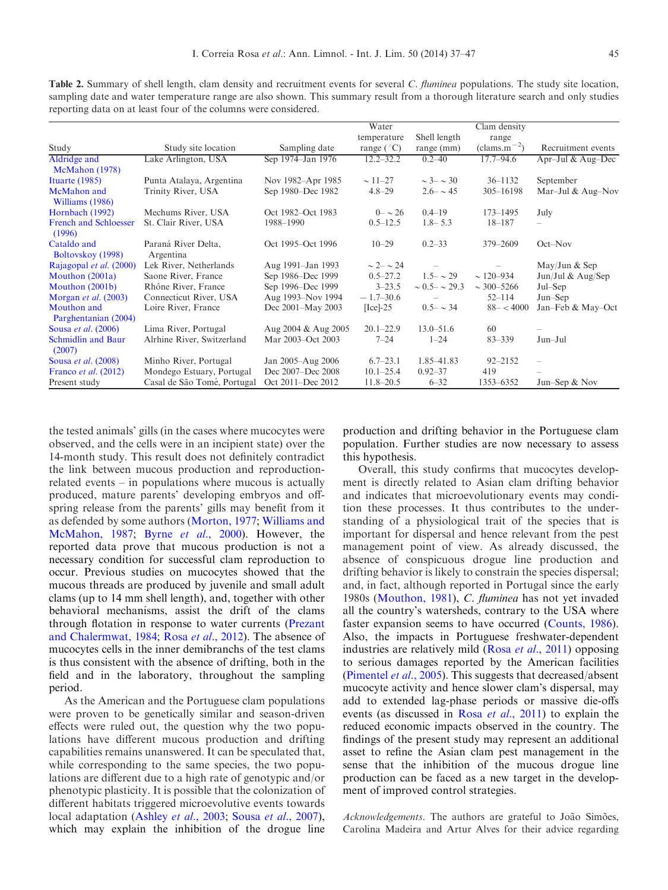<span id="page-8-0"></span>Table 2. Summary of shell length, clam density and recruitment events for several C. fluminea populations. The study site location, sampling date and water temperature range are also shown. This summary result from a thorough literature search and only studies reporting data on at least four of the columns were considered.

| Shell length<br>temperature<br>range<br>Study<br>$\text{(clams.m}^{-2})$<br>Sampling date<br>range (°C)<br>Study site location<br>range (mm)<br>Sep 1974–Jan 1976<br>$12.2 - 32.2$<br>$17.7 - 94.6$<br>Apr-Jul & Aug-Dec<br>Aldridge and<br>Lake Arlington, USA<br>$0.2 - 40$ | Recruitment events |
|-------------------------------------------------------------------------------------------------------------------------------------------------------------------------------------------------------------------------------------------------------------------------------|--------------------|
|                                                                                                                                                                                                                                                                               |                    |
|                                                                                                                                                                                                                                                                               |                    |
|                                                                                                                                                                                                                                                                               |                    |
| McMahon (1978)                                                                                                                                                                                                                                                                |                    |
| $\sim$ 3- $\sim$ 30<br>Ituarte $(1985)$<br>Punta Atalaya, Argentina<br>Nov 1982-Apr 1985<br>$\sim$ 11–27<br>$36 - 1132$<br>September                                                                                                                                          |                    |
| Sep 1980–Dec 1982<br>Trinity River, USA<br>$2.6 - \sim 45$<br>$305 - 16198$<br>Mar-Jul & Aug-Nov<br>McMahon and<br>$4.8 - 29$<br>Williams (1986)                                                                                                                              |                    |
| Hornbach (1992)<br>Mechums River, USA<br>Oct 1982–Oct 1983<br>$0 - 26$<br>$0.4 - 19$<br>$173 - 1495$<br>July                                                                                                                                                                  |                    |
| <b>French and Schloesser</b><br>St. Clair River, USA<br>$1.8 - 5.3$<br>1988-1990<br>$0.5 - 12.5$<br>$18 - 187$<br>-<br>(1996)                                                                                                                                                 |                    |
| Cataldo and<br>Paraná River Delta,<br>Oct 1995–Oct 1996<br>$0.2 - 33$<br>379-2609<br>$Oct-Nov$<br>$10 - 29$<br>Boltovskov (1998)<br>Argentina                                                                                                                                 |                    |
| $\sim$ 2- $\sim$ 24<br>Rajagopal et al. (2000)<br>Lek River, Netherlands<br>Aug 1991–Jan 1993<br>May/Jun & Sep                                                                                                                                                                |                    |
| $1.5 - \sim 29$<br>Mouthon (2001a)<br>Saone River, France<br>Sep 1986–Dec 1999<br>$0.5 - 27.2$<br>$\sim$ 120-934<br>Jun/Jul & Aug/Sep                                                                                                                                         |                    |
| Mouthon (2001b)<br>Sep 1996–Dec 1999<br>$3 - 23.5$<br>$\sim$ 300-5266<br>Rhône River, France<br>$\sim 0.5 - \sim 29.3$<br>Jul–Sep                                                                                                                                             |                    |
| Aug 1993-Nov 1994<br>Morgan <i>et al.</i> $(2003)$<br>Connecticut River, USA<br>$-1.7-30.6$<br>$52 - 114$<br>$Jun-Sep$                                                                                                                                                        |                    |
| Mouthon and<br>Loire River, France<br>Dec 2001-May 2003<br>$88 - < 4000$<br>Jan-Feb & May-Oct<br>$[Ice]-25$<br>$0.5 - \sim 34$<br>Parghentanian (2004)                                                                                                                        |                    |
| Sousa et al. (2006)<br>Lima River, Portugal<br>Aug 2004 & Aug 2005<br>$20.1 - 22.9$<br>$13.0 - 51.6$<br>60                                                                                                                                                                    |                    |
| <b>Schmidlin and Baur</b><br>Alrhine River, Switzerland<br>Mar 2003–Oct 2003<br>$7 - 24$<br>$1 - 24$<br>$83 - 339$<br>Jun-Jul<br>(2007)                                                                                                                                       |                    |
| Sousa et al. (2008)<br>Minho River, Portugal<br>$6.7 - 23.1$<br>1.85-41.83<br>$92 - 2152$<br>Jan 2005-Aug 2006<br>$\overline{\phantom{0}}$                                                                                                                                    |                    |
| Mondego Estuary, Portugal<br>Dec 2007–Dec 2008<br>$10.1 - 25.4$<br>419<br>Franco <i>et al.</i> (2012)<br>$0.92 - 37$                                                                                                                                                          |                    |
| Casal de São Tomé, Portugal<br>Oct 2011-Dec 2012<br>Present study<br>$11.8 - 20.5$<br>$6 - 32$<br>1353-6352<br>Jun-Sep $&$ Nov                                                                                                                                                |                    |

the tested animals' gills (in the cases where mucocytes were observed, and the cells were in an incipient state) over the 14-month study. This result does not definitely contradict the link between mucous production and reproductionrelated events – in populations where mucous is actually produced, mature parents' developing embryos and offspring release from the parents' gills may benefit from it as defended by some authors [\(Morton, 1977;](#page-10-0) [Williams and](#page-10-0) [McMahon, 1987;](#page-10-0) Byrne et al[., 2000](#page-9-0)). However, the reported data prove that mucous production is not a necessary condition for successful clam reproduction to occur. Previous studies on mucocytes showed that the mucous threads are produced by juvenile and small adult clams (up to 14 mm shell length), and, together with other behavioral mechanisms, assist the drift of the clams through flotation in response to water currents [\(Prezant](#page-10-0) [and Chalermwat, 1984](#page-10-0); Rosa et al[., 2012\)](#page-10-0). The absence of mucocytes cells in the inner demibranchs of the test clams is thus consistent with the absence of drifting, both in the field and in the laboratory, throughout the sampling period.

As the American and the Portuguese clam populations were proven to be genetically similar and season-driven effects were ruled out, the question why the two populations have different mucous production and drifting capabilities remains unanswered. It can be speculated that, while corresponding to the same species, the two populations are different due to a high rate of genotypic and/or phenotypic plasticity. It is possible that the colonization of different habitats triggered microevolutive events towards local adaptation [\(Ashley](#page-9-0) et al., 2003; Sousa et al[., 2007\)](#page-10-0), which may explain the inhibition of the drogue line

production and drifting behavior in the Portuguese clam population. Further studies are now necessary to assess this hypothesis.

Overall, this study confirms that mucocytes development is directly related to Asian clam drifting behavior and indicates that microevolutionary events may condition these processes. It thus contributes to the understanding of a physiological trait of the species that is important for dispersal and hence relevant from the pest management point of view. As already discussed, the absence of conspicuous drogue line production and drifting behavior is likely to constrain the species dispersal; and, in fact, although reported in Portugal since the early 1980s [\(Mouthon, 1981](#page-10-0)), C. fluminea has not yet invaded all the country's watersheds, contrary to the USA where faster expansion seems to have occurred [\(Counts, 1986\)](#page-9-0). Also, the impacts in Portuguese freshwater-dependent industries are relatively mild (Rosa et al[., 2011](#page-10-0)) opposing to serious damages reported by the American facilities ([Pimentel](#page-10-0) et al., 2005). This suggests that decreased/absent mucocyte activity and hence slower clam's dispersal, may add to extended lag-phase periods or massive die-offs events (as discussed in Rosa et al[., 2011](#page-10-0)) to explain the reduced economic impacts observed in the country. The findings of the present study may represent an additional asset to refine the Asian clam pest management in the sense that the inhibition of the mucous drogue line production can be faced as a new target in the development of improved control strategies.

Acknowledgements. The authors are grateful to João Simões, Carolina Madeira and Artur Alves for their advice regarding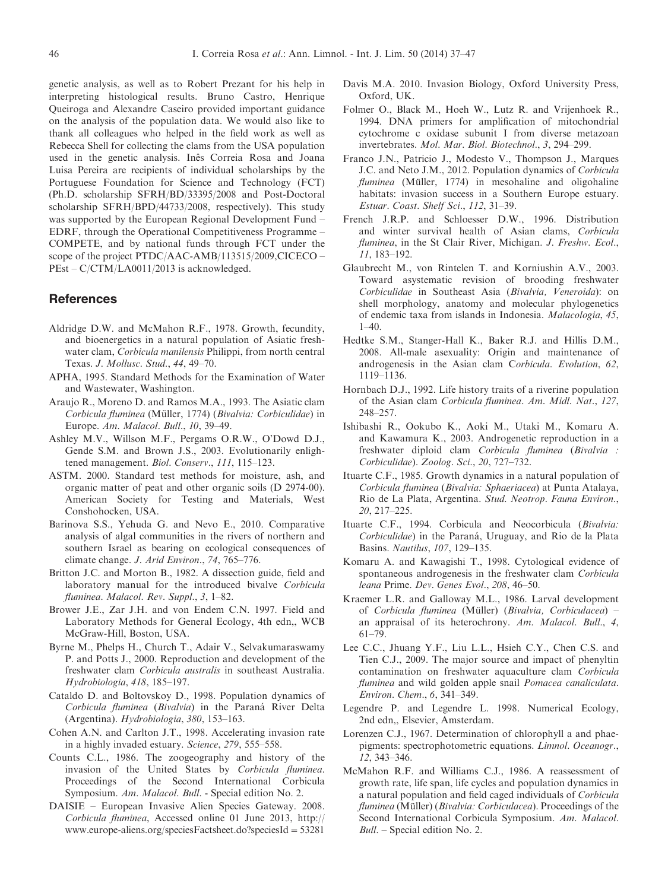<span id="page-9-0"></span>genetic analysis, as well as to Robert Prezant for his help in interpreting histological results. Bruno Castro, Henrique Queiroga and Alexandre Caseiro provided important guidance on the analysis of the population data. We would also like to thank all colleagues who helped in the field work as well as Rebecca Shell for collecting the clams from the USA population used in the genetic analysis. Inês Correia Rosa and Joana Luisa Pereira are recipients of individual scholarships by the Portuguese Foundation for Science and Technology (FCT) (Ph.D. scholarship SFRH/BD/33395/2008 and Post-Doctoral scholarship SFRH/BPD/44733/2008, respectively). This study was supported by the European Regional Development Fund – EDRF, through the Operational Competitiveness Programme – COMPETE, and by national funds through FCT under the scope of the project PTDC/AAC-AMB/113515/2009,CICECO – PEst – C/CTM/LA0011/2013 is acknowledged.

#### References

- Aldridge D.W. and McMahon R.F., 1978. Growth, fecundity, and bioenergetics in a natural population of Asiatic freshwater clam, Corbicula manilensis Philippi, from north central Texas. J. Mollusc. Stud., 44, 49–70.
- APHA, 1995. Standard Methods for the Examination of Water and Wastewater, Washington.
- Araujo R., Moreno D. and Ramos M.A., 1993. The Asiatic clam Corbicula fluminea (Müller, 1774) (Bivalvia: Corbiculidae) in Europe. Am. Malacol. Bull., 10, 39–49.
- Ashley M.V., Willson M.F., Pergams O.R.W., O'Dowd D.J., Gende S.M. and Brown J.S., 2003. Evolutionarily enlightened management. Biol. Conserv., 111, 115–123.
- ASTM. 2000. Standard test methods for moisture, ash, and organic matter of peat and other organic soils (D 2974-00). American Society for Testing and Materials, West Conshohocken, USA.
- Barinova S.S., Yehuda G. and Nevo E., 2010. Comparative analysis of algal communities in the rivers of northern and southern Israel as bearing on ecological consequences of climate change. J. Arid Environ., 74, 765–776.
- Britton J.C. and Morton B., 1982. A dissection guide, field and laboratory manual for the introduced bivalve Corbicula fluminea. Malacol. Rev. Suppl., 3, 1-82.
- Brower J.E., Zar J.H. and von Endem C.N. 1997. Field and Laboratory Methods for General Ecology, 4th edn,, WCB McGraw-Hill, Boston, USA.
- Byrne M., Phelps H., Church T., Adair V., Selvakumaraswamy P. and Potts J., 2000. Reproduction and development of the freshwater clam Corbicula australis in southeast Australia. Hydrobiologia, 418, 185–197.
- Cataldo D. and Boltovskoy D., 1998. Population dynamics of Corbicula fluminea (Bivalvia) in the Paraná River Delta (Argentina). Hydrobiologia, 380, 153–163.
- Cohen A.N. and Carlton J.T., 1998. Accelerating invasion rate in a highly invaded estuary. Science, 279, 555–558.
- Counts C.L., 1986. The zoogeography and history of the invasion of the United States by Corbicula fluminea. Proceedings of the Second International Corbicula Symposium. Am. Malacol. Bull. - Special edition No. 2.
- DAISIE European Invasive Alien Species Gateway. 2008. Corbicula fluminea, Accessed online 01 June 2013, http:// www.europe-aliens.org/speciesFactsheet.do?speciesId=53281
- Davis M.A. 2010. Invasion Biology, Oxford University Press, Oxford, UK.
- Folmer O., Black M., Hoeh W., Lutz R. and Vrijenhoek R., 1994. DNA primers for amplification of mitochondrial cytochrome c oxidase subunit I from diverse metazoan invertebrates. Mol. Mar. Biol. Biotechnol., 3, 294–299.
- Franco J.N., Patricio J., Modesto V., Thompson J., Marques J.C. and Neto J.M., 2012. Population dynamics of Corbicula fluminea (Müller, 1774) in mesohaline and oligohaline habitats: invasion success in a Southern Europe estuary. Estuar. Coast. Shelf Sci., 112, 31–39.
- French J.R.P. and Schloesser D.W., 1996. Distribution and winter survival health of Asian clams, Corbicula fluminea, in the St Clair River, Michigan. J. Freshw. Ecol., 11, 183–192.
- Glaubrecht M., von Rintelen T. and Korniushin A.V., 2003. Toward asystematic revision of brooding freshwater Corbiculidae in Southeast Asia (Bivalvia, Veneroida): on shell morphology, anatomy and molecular phylogenetics of endemic taxa from islands in Indonesia. Malacologia, 45, 1–40.
- Hedtke S.M., Stanger-Hall K., Baker R.J. and Hillis D.M., 2008. All-male asexuality: Origin and maintenance of androgenesis in the Asian clam Corbicula. Evolution, 62, 1119–1136.
- Hornbach D.J., 1992. Life history traits of a riverine population of the Asian clam Corbicula fluminea. Am. Midl. Nat., 127, 248–257.
- Ishibashi R., Ookubo K., Aoki M., Utaki M., Komaru A. and Kawamura K., 2003. Androgenetic reproduction in a freshwater diploid clam Corbicula fluminea (Bivalvia : Corbiculidae). Zoolog. Sci., 20, 727–732.
- Ituarte C.F., 1985. Growth dynamics in a natural population of Corbicula fluminea (Bivalvia: Sphaeriacea) at Punta Atalaya, Rio de La Plata, Argentina. Stud. Neotrop. Fauna Environ., 20, 217–225.
- Ituarte C.F., 1994. Corbicula and Neocorbicula (Bivalvia: Corbiculidae) in the Paraná, Uruguay, and Rio de la Plata Basins. Nautilus, 107, 129–135.
- Komaru A. and Kawagishi T., 1998. Cytological evidence of spontaneous androgenesis in the freshwater clam Corbicula leana Prime. Dev. Genes Evol., 208, 46–50.
- Kraemer L.R. and Galloway M.L., 1986. Larval development of Corbicula fluminea (Müller) (Bivalvia, Corbiculacea) – an appraisal of its heterochrony. Am. Malacol. Bull., 4, 61–79.
- Lee C.C., Jhuang Y.F., Liu L.L., Hsieh C.Y., Chen C.S. and Tien C.J., 2009. The major source and impact of phenyltin contamination on freshwater aquaculture clam Corbicula fluminea and wild golden apple snail Pomacea canaliculata. Environ. Chem., 6, 341–349.
- Legendre P. and Legendre L. 1998. Numerical Ecology, 2nd edn,, Elsevier, Amsterdam.
- Lorenzen C.J., 1967. Determination of chlorophyll a and phaepigments: spectrophotometric equations. Limnol. Oceanogr., 12, 343–346.
- McMahon R.F. and Williams C.J., 1986. A reassessment of growth rate, life span, life cycles and population dynamics in a natural population and field caged individuals of Corbicula fluminea (Müller) (Bivalvia: Corbiculacea). Proceedings of the Second International Corbicula Symposium. Am. Malacol. Bull. – Special edition No. 2.